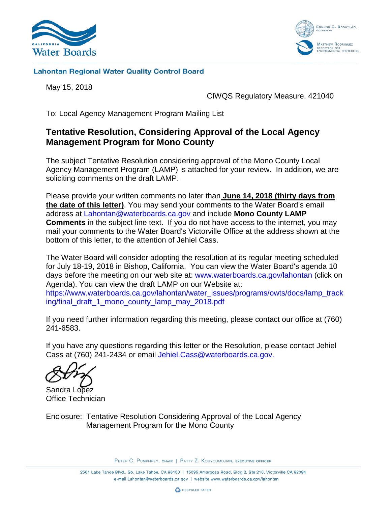



### **Lahontan Regional Water Quality Control Board**

May 15, 2018

CIWQS Regulatory Measure. 421040

To: Local Agency Management Program Mailing List

# **Tentative Resolution, Considering Approval of the Local Agency Management Program for Mono County**

The subject Tentative Resolution considering approval of the Mono County Local Agency Management Program (LAMP) is attached for your review. In addition, we are soliciting comments on the draft LAMP.

Please provide your written comments no later than **June 14, 2018 (thirty days from the date of this letter)**. You may send your comments to the Water Board's email address at [Lahontan@waterboards.ca.gov](mailto:Lahontan@waterboards.ca.gov) and include **Mono County LAMP Comments** in the subject line text. If you do not have access to the internet, you may mail your comments to the Water Board's Victorville Office at the address shown at the bottom of this letter, to the attention of Jehiel Cass.

The Water Board will consider adopting the resolution at its regular meeting scheduled for July 18-19, 2018 in Bishop, California. You can view the Water Board's agenda 10 days before the meeting on our web site at: [www.waterboards.ca.gov/lahontan](http://www.waterboards.ca.gov/lahontan) (click on Agenda). You can view the draft LAMP on our Website at: [https://www.waterboards.ca.gov/lahontan/water\\_issues/programs/owts/docs/lamp\\_track](https://www.waterboards.ca.gov/lahontan/water_issues/programs/owts/docs/lamp_tracking/final_draft_1_mono_county_lamp_may_2018.pdf) [ing/final\\_draft\\_1\\_mono\\_county\\_lamp\\_may\\_2018.pdf](https://www.waterboards.ca.gov/lahontan/water_issues/programs/owts/docs/lamp_tracking/final_draft_1_mono_county_lamp_may_2018.pdf) 

If you need further information regarding this meeting, please contact our office at (760) 241-6583.

If you have any questions regarding this letter or the Resolution, please contact Jehiel Cass at (760) 241-2434 or email [Jehiel.Cass@waterboards.ca.gov.](mailto:Jehiel.Cass@waterboards.ca.gov)

Sandra Lopez Office Technician

Enclosure: Tentative Resolution Considering Approval of the Local Agency Management Program for the Mono County

PETER C. PUMPHREY, CHAIR | PATTY Z. KOUYOUMDJIAN, EXECUTIVE OFFICER

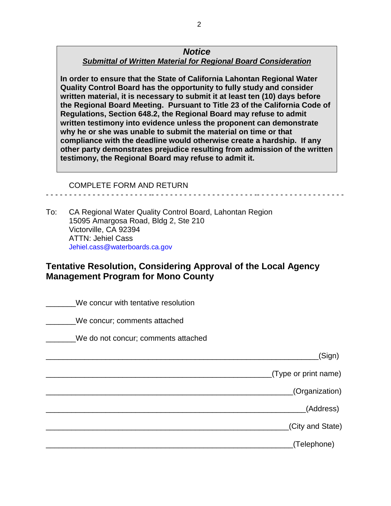### *Notice Submittal of Written Material for Regional Board Consideration*

**In order to ensure that the State of California Lahontan Regional Water Quality Control Board has the opportunity to fully study and consider written material, it is necessary to submit it at least ten (10) days before the Regional Board Meeting. Pursuant to Title 23 of the California Code of Regulations, Section 648.2, the Regional Board may refuse to admit written testimony into evidence unless the proponent can demonstrate why he or she was unable to submit the material on time or that compliance with the deadline would otherwise create a hardship. If any other party demonstrates prejudice resulting from admission of the written testimony, the Regional Board may refuse to admit it.**

- - - - - - - - - - - - - - - - - - - - - - -- - - - - - - - - - - - - - - - - - - - - - -- - - - - - - - - - - - - - - - - - -

#### COMPLETE FORM AND RETURN

To: CA Regional Water Quality Control Board, Lahontan Region 15095 Amargosa Road, Bldg 2, Ste 210 Victorville, CA 92394 ATTN: Jehiel Cass [Jehiel.cass@waterboards.ca.gov](mailto:Jehiel.cass@waterboards.ca.gov)

## **Tentative Resolution, Considering Approval of the Local Agency Management Program for Mono County**

|                      | We concur with tentative resolution |
|----------------------|-------------------------------------|
|                      | We concur; comments attached        |
|                      | We do not concur; comments attached |
| (Sign)               |                                     |
| (Type or print name) |                                     |
| (Organization)       |                                     |
| (Address)            |                                     |
| (City and State)     |                                     |
| (Telephone)          |                                     |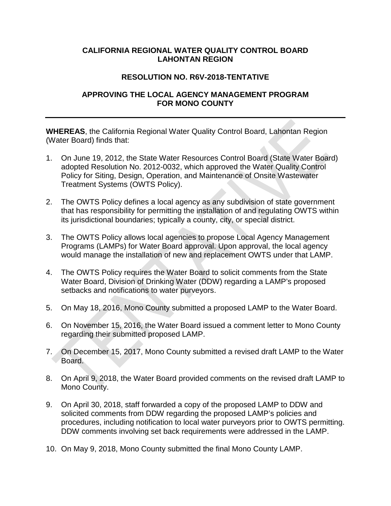### **CALIFORNIA REGIONAL WATER QUALITY CONTROL BOARD LAHONTAN REGION**

### **RESOLUTION NO. R6V-2018-TENTATIVE**

### **APPROVING THE LOCAL AGENCY MANAGEMENT PROGRAM FOR MONO COUNTY**

**WHEREAS**, the California Regional Water Quality Control Board, Lahontan Region (Water Board) finds that:

- 1. On June 19, 2012, the State Water Resources Control Board (State Water Board) adopted Resolution No. 2012-0032, which approved the Water Quality Control Policy for Siting, Design, Operation, and Maintenance of Onsite Wastewater Treatment Systems (OWTS Policy).
- 2. The OWTS Policy defines a local agency as any subdivision of state government that has responsibility for permitting the installation of and regulating OWTS within its jurisdictional boundaries; typically a county, city, or special district.
- 3. The OWTS Policy allows local agencies to propose Local Agency Management Programs (LAMPs) for Water Board approval. Upon approval, the local agency would manage the installation of new and replacement OWTS under that LAMP.
- 4. The OWTS Policy requires the Water Board to solicit comments from the State Water Board, Division of Drinking Water (DDW) regarding a LAMP's proposed setbacks and notifications to water purveyors.
- 5. On May 18, 2016, Mono County submitted a proposed LAMP to the Water Board.
- 6. On November 15, 2016, the Water Board issued a comment letter to Mono County regarding their submitted proposed LAMP.
- 7. On December 15, 2017, Mono County submitted a revised draft LAMP to the Water Board.
- 8. On April 9, 2018, the Water Board provided comments on the revised draft LAMP to Mono County.
- 9. On April 30, 2018, staff forwarded a copy of the proposed LAMP to DDW and solicited comments from DDW regarding the proposed LAMP's policies and procedures, including notification to local water purveyors prior to OWTS permitting. DDW comments involving set back requirements were addressed in the LAMP.
- 10. On May 9, 2018, Mono County submitted the final Mono County LAMP.